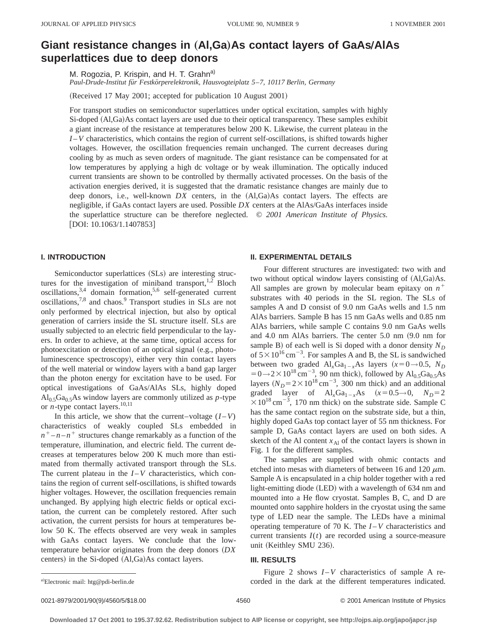# **Giant resistance changes in (AI,Ga)As contact layers of GaAs/AIAs superlattices due to deep donors**

M. Rogozia, P. Krispin, and H. T. Grahn<sup>a)</sup>

*Paul-Drude-Institut fu¨r Festko¨rperelektronik, Hausvogteiplatz 5*–*7, 10117 Berlin, Germany*

(Received 17 May 2001; accepted for publication 10 August 2001)

For transport studies on semiconductor superlattices under optical excitation, samples with highly Si-doped (Al,Ga)As contact layers are used due to their optical transparency. These samples exhibit a giant increase of the resistance at temperatures below 200 K. Likewise, the current plateau in the *I* – *V* characteristics, which contains the region of current self-oscillations, is shifted towards higher voltages. However, the oscillation frequencies remain unchanged. The current decreases during cooling by as much as seven orders of magnitude. The giant resistance can be compensated for at low temperatures by applying a high dc voltage or by weak illumination. The optically induced current transients are shown to be controlled by thermally activated processes. On the basis of the activation energies derived, it is suggested that the dramatic resistance changes are mainly due to deep donors, i.e., well-known  $DX$  centers, in the  $(Al,Ga)As$  contact layers. The effects are negligible, if GaAs contact layers are used. Possible *DX* centers at the AlAs/GaAs interfaces inside the superlattice structure can be therefore neglected. © *2001 American Institute of Physics.*  $[DOI: 10.1063/1.1407853]$ 

# **I. INTRODUCTION**

Semiconductor superlattices (SLs) are interesting structures for the investigation of miniband transport,  $1,2$  Bloch oscillations,  $3,4$  domain formation,  $5,6$  self-generated current oscillations,<sup>7,8</sup> and chaos.<sup>9</sup> Transport studies in SLs are not only performed by electrical injection, but also by optical generation of carriers inside the SL structure itself. SLs are usually subjected to an electric field perpendicular to the layers. In order to achieve, at the same time, optical access for photoexcitation or detection of an optical signal (e.g., photoluminescence spectroscopy), either very thin contact layers of the well material or window layers with a band gap larger than the photon energy for excitation have to be used. For optical investigations of GaAs/AlAs SLs, highly doped  $Al<sub>0.5</sub>Ga<sub>0.5</sub>As window layers are commonly utilized as p-type$ or  $n$ -type contact layers.<sup>10,11</sup>

In this article, we show that the current–voltage  $(I - V)$ characteristics of weakly coupled SLs embedded in  $n^+$  – *n* – *n*<sup>+</sup> structures change remarkably as a function of the temperature, illumination, and electric field. The current decreases at temperatures below 200 K much more than estimated from thermally activated transport through the SLs. The current plateau in the  $I - V$  characteristics, which contains the region of current self-oscillations, is shifted towards higher voltages. However, the oscillation frequencies remain unchanged. By applying high electric fields or optical excitation, the current can be completely restored. After such activation, the current persists for hours at temperatures below 50 K. The effects observed are very weak in samples with GaAs contact layers. We conclude that the lowtemperature behavior originates from the deep donors ~*DX* centers) in the Si-doped  $(Al,Ga)As$  contact layers.

## **II. EXPERIMENTAL DETAILS**

Four different structures are investigated: two with and two without optical window layers consisting of  $(AI, Ga)As$ . All samples are grown by molecular beam epitaxy on  $n^+$ substrates with 40 periods in the SL region. The SLs of samples A and D consist of 9.0 nm GaAs wells and 1.5 nm AlAs barriers. Sample B has 15 nm GaAs wells and 0.85 nm AlAs barriers, while sample C contains 9.0 nm GaAs wells and 4.0 nm AlAs barriers. The center  $5.0$  nm  $(9.0 \text{ nm}$  for sample B) of each well is Si doped with a donor density  $N_D$ of  $5 \times 10^{16}$  cm<sup>-3</sup>. For samples A and B, the SL is sandwiched between two graded  $Al_xGa_{1-x}As$  layers  $(x=0\rightarrow 0.5, N_D)$  $=0 \rightarrow 2 \times 10^{18} \text{ cm}^{-3}$ , 90 nm thick), followed by Al<sub>0.5</sub>Ga<sub>0.5</sub>As layers  $(N_D=2\times10^{18} \text{ cm}^{-3}$ , 300 nm thick) and an additional graded layer of  $AI_xGa_{1-x}As$   $(x=0.5\rightarrow0, N_D=2)$  $\times 10^{18}$  cm<sup>-3</sup>, 170 nm thick) on the substrate side. Sample C has the same contact region on the substrate side, but a thin, highly doped GaAs top contact layer of 55 nm thickness. For sample D, GaAs contact layers are used on both sides. A sketch of the Al content  $x_{Al}$  of the contact layers is shown in Fig. 1 for the different samples.

The samples are supplied with ohmic contacts and etched into mesas with diameters of between 16 and 120  $\mu$ m. Sample A is encapsulated in a chip holder together with a red light-emitting diode (LED) with a wavelength of 634 nm and mounted into a He flow cryostat. Samples B, C, and D are mounted onto sapphire holders in the cryostat using the same type of LED near the sample. The LEDs have a minimal operating temperature of 70 K. The *I* –*V* characteristics and current transients  $I(t)$  are recorded using a source-measure unit (Keithley SMU 236).

## **III. RESULTS**

Figure 2 shows  $I - V$  characteristics of sample A recorded in the dark at the different temperatures indicated.

0021-8979/2001/90(9)/4560/5/\$18.00 © 2001 American Institute of Physics 4560

a)Electronic mail: htg@pdi-berlin.de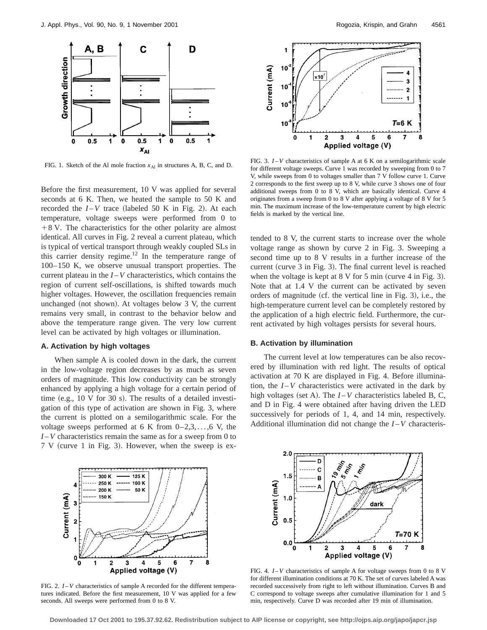

FIG. 1. Sketch of the Al mole fraction  $x_{\text{Al}}$  in structures A, B, C, and D.

Before the first measurement, 10 V was applied for several seconds at 6 K. Then, we heated the sample to 50 K and recorded the  $I - V$  trace (labeled 50 K in Fig. 2). At each temperature, voltage sweeps were performed from 0 to  $+8$  V. The characteristics for the other polarity are almost identical. All curves in Fig. 2 reveal a current plateau, which is typical of vertical transport through weakly coupled SLs in this carrier density regime.12 In the temperature range of 100–150 K, we observe unusual transport properties. The current plateau in the  $I - V$  characteristics, which contains the region of current self-oscillations, is shifted towards much higher voltages. However, the oscillation frequencies remain unchanged (not shown). At voltages below  $3$  V, the current remains very small, in contrast to the behavior below and above the temperature range given. The very low current level can be activated by high voltages or illumination.

## **A. Activation by high voltages**

When sample A is cooled down in the dark, the current in the low-voltage region decreases by as much as seven orders of magnitude. This low conductivity can be strongly enhanced by applying a high voltage for a certain period of time  $(e.g., 10 \text{ V}$  for 30 s). The results of a detailed investigation of this type of activation are shown in Fig. 3, where the current is plotted on a semilogarithmic scale. For the voltage sweeps performed at 6 K from  $0-2,3,\ldots,6$  V, the *I* –*V* characteristics remain the same as for a sweep from 0 to  $7 V$  (curve 1 in Fig. 3). However, when the sweep is ex-



FIG. 3. *I* –*V* characteristics of sample A at 6 K on a semilogarithmic scale for different voltage sweeps. Curve 1 was recorded by sweeping from 0 to 7 V, while sweeps from 0 to voltages smaller than 7 V follow curve 1. Curve 2 corresponds to the first sweep up to 8 V, while curve 3 shows one of four additional sweeps from 0 to 8 V, which are basically identical. Curve 4 originates from a sweep from 0 to 8 V after applying a voltage of 8 V for 5 min. The maximum increase of the low-temperature current by high electric fields is marked by the vertical line.

tended to 8 V, the current starts to increase over the whole voltage range as shown by curve 2 in Fig. 3. Sweeping a second time up to 8 V results in a further increase of the current (curve  $3$  in Fig. 3). The final current level is reached when the voltage is kept at  $8 \text{ V}$  for  $5 \text{ min}$  (curve  $4 \text{ in Fig. 3}.$ Note that at 1.4 V the current can be activated by seven orders of magnitude (cf. the vertical line in Fig. 3), i.e., the high-temperature current level can be completely restored by the application of a high electric field. Furthermore, the current activated by high voltages persists for several hours.

### **B. Activation by illumination**

The current level at low temperatures can be also recovered by illumination with red light. The results of optical activation at 70 K are displayed in Fig. 4. Before illumination, the  $I - V$  characteristics were activated in the dark by high voltages (set A). The  $I - V$  characteristics labeled B, C, and D in Fig. 4 were obtained after having driven the LED successively for periods of 1, 4, and 14 min, respectively. Additional illumination did not change the  $I-V$  characteris-



FIG. 2. *I* –*V* characteristics of sample A recorded for the different temperatures indicated. Before the first measurement, 10 V was applied for a few seconds. All sweeps were performed from 0 to 8 V.



FIG. 4. *I* –*V* characteristics of sample A for voltage sweeps from 0 to 8 V for different illumination conditions at 70 K. The set of curves labeled A was recorded successively from right to left without illumination. Curves B and C correspond to voltage sweeps after cumulative illumination for 1 and 5 min, respectively. Curve D was recorded after 19 min of illumination.

**Downloaded 17 Oct 2001 to 195.37.92.62. Redistribution subject to AIP license or copyright, see http://ojps.aip.org/japo/japcr.jsp**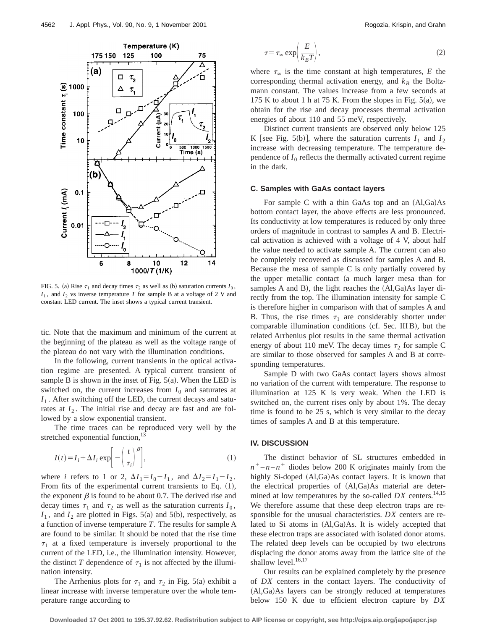

FIG. 5. (a) Rise  $\tau_1$  and decay times  $\tau_2$  as well as (b) saturation currents  $I_0$ ,  $I_1$ , and  $I_2$  vs inverse temperature *T* for sample B at a voltage of 2 V and constant LED current. The inset shows a typical current transient.

tic. Note that the maximum and minimum of the current at the beginning of the plateau as well as the voltage range of the plateau do not vary with the illumination conditions.

In the following, current transients in the optical activation regime are presented. A typical current transient of sample B is shown in the inset of Fig.  $5(a)$ . When the LED is switched on, the current increases from  $I_0$  and saturates at  $I_1$ . After switching off the LED, the current decays and saturates at  $I_2$ . The initial rise and decay are fast and are followed by a slow exponential transient.

The time traces can be reproduced very well by the stretched exponential function, $^{13}$ 

$$
I(t) = I_i + \Delta I_i \exp\left[-\left(\frac{t}{\tau_i}\right)^{\beta}\right],
$$
 (1)

where *i* refers to 1 or 2,  $\Delta I_1 = I_0 - I_1$ , and  $\Delta I_2 = I_1 - I_2$ . From fits of the experimental current transients to Eq.  $(1)$ , the exponent  $\beta$  is found to be about 0.7. The derived rise and decay times  $\tau_1$  and  $\tau_2$  as well as the saturation currents  $I_0$ ,  $I_1$ , and  $I_2$  are plotted in Figs. 5(a) and 5(b), respectively, as a function of inverse temperature *T*. The results for sample A are found to be similar. It should be noted that the rise time  $\tau_1$  at a fixed temperature is inversely proportional to the current of the LED, i.e., the illumination intensity. However, the distinct *T* dependence of  $\tau_1$  is not affected by the illumination intensity.

The Arrhenius plots for  $\tau_1$  and  $\tau_2$  in Fig. 5(a) exhibit a linear increase with inverse temperature over the whole temperature range according to

$$
\tau = \tau_{\infty} \exp\left(\frac{E}{k_B T}\right),\tag{2}
$$

where  $\tau_{\infty}$  is the time constant at high temperatures, *E* the corresponding thermal activation energy, and  $k_B$  the Boltzmann constant. The values increase from a few seconds at 175 K to about 1 h at 75 K. From the slopes in Fig.  $5(a)$ , we obtain for the rise and decay processes thermal activation energies of about 110 and 55 meV, respectively.

Distinct current transients are observed only below 125 K [see Fig. 5(b)], where the saturation currents  $I_1$  and  $I_2$ increase with decreasing temperature. The temperature dependence of  $I_0$  reflects the thermally activated current regime in the dark.

#### **C. Samples with GaAs contact layers**

For sample C with a thin GaAs top and an  $(A1, Ga)As$ bottom contact layer, the above effects are less pronounced. Its conductivity at low temperatures is reduced by only three orders of magnitude in contrast to samples A and B. Electrical activation is achieved with a voltage of 4 V, about half the value needed to activate sample A. The current can also be completely recovered as discussed for samples A and B. Because the mesa of sample C is only partially covered by the upper metallic contact (a much larger mesa than for samples A and B), the light reaches the  $(Al,Ga)As$  layer directly from the top. The illumination intensity for sample C is therefore higher in comparison with that of samples A and B. Thus, the rise times  $\tau_1$  are considerably shorter under comparable illumination conditions (cf. Sec. III B), but the related Arrhenius plot results in the same thermal activation energy of about 110 meV. The decay times  $\tau_2$  for sample C are similar to those observed for samples A and B at corresponding temperatures.

Sample D with two GaAs contact layers shows almost no variation of the current with temperature. The response to illumination at 125 K is very weak. When the LED is switched on, the current rises only by about 1%. The decay time is found to be 25 s, which is very similar to the decay times of samples A and B at this temperature.

#### **IV. DISCUSSION**

The distinct behavior of SL structures embedded in  $n^+$  – *n* – *n*<sup>+</sup> diodes below 200 K originates mainly from the highly Si-doped  $(Al,Ga)As$  contact layers. It is known that the electrical properties of  $(AI,Ga)As$  material are determined at low temperatures by the so-called  $DX$  centers.<sup>14,15</sup> We therefore assume that these deep electron traps are responsible for the unusual characteristics. *DX* centers are related to Si atoms in  $(Al,Ga)As$ . It is widely accepted that these electron traps are associated with isolated donor atoms. The related deep levels can be occupied by two electrons displacing the donor atoms away from the lattice site of the shallow level.<sup>16,17</sup>

Our results can be explained completely by the presence of *DX* centers in the contact layers. The conductivity of (Al,Ga)As layers can be strongly reduced at temperatures below 150 K due to efficient electron capture by *DX*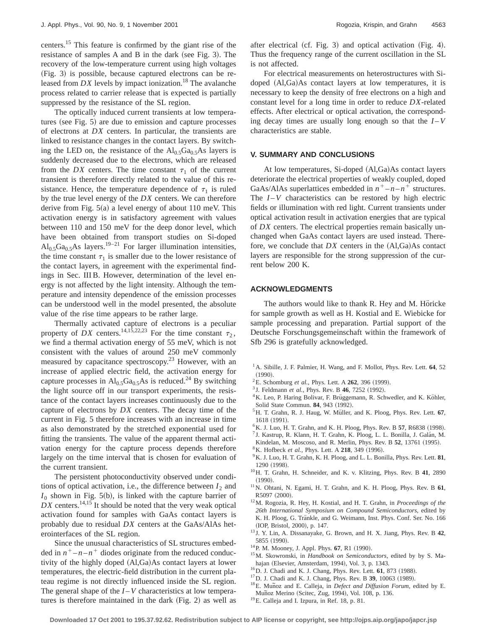centers.15 This feature is confirmed by the giant rise of the resistance of samples  $A$  and  $B$  in the dark (see Fig. 3). The recovery of the low-temperature current using high voltages (Fig. 3) is possible, because captured electrons can be released from  $DX$  levels by impact ionization.<sup>18</sup> The avalanche process related to carrier release that is expected is partially suppressed by the resistance of the SL region.

The optically induced current transients at low temperatures (see Fig.  $5$ ) are due to emission and capture processes of electrons at *DX* centers. In particular, the transients are linked to resistance changes in the contact layers. By switching the LED on, the resistance of the  $Al<sub>0.5</sub>Ga<sub>0.5</sub>As$  layers is suddenly decreased due to the electrons, which are released from the *DX* centers. The time constant  $\tau_1$  of the current transient is therefore directly related to the value of this resistance. Hence, the temperature dependence of  $\tau_1$  is ruled by the true level energy of the *DX* centers. We can therefore derive from Fig.  $5(a)$  a level energy of about 110 meV. This activation energy is in satisfactory agreement with values between 110 and 150 meV for the deep donor level, which have been obtained from transport studies on Si-doped  $Al_0$ <sub>5</sub>Ga<sub>0.5</sub>As layers.<sup>19–21</sup> For larger illumination intensities, the time constant  $\tau_1$  is smaller due to the lower resistance of the contact layers, in agreement with the experimental findings in Sec. III B. However, determination of the level energy is not affected by the light intensity. Although the temperature and intensity dependence of the emission processes can be understood well in the model presented, the absolute value of the rise time appears to be rather large.

Thermally activated capture of electrons is a peculiar property of *DX* centers.<sup>14,15,22,23</sup> For the time constant  $\tau_2$ , we find a thermal activation energy of 55 meV, which is not consistent with the values of around 250 meV commonly measured by capacitance spectroscopy.<sup>23</sup> However, with an increase of applied electric field, the activation energy for capture processes in Al<sub>0.5</sub>Ga<sub>0.5</sub>As is reduced.<sup>24</sup> By switching the light source off in our transport experiments, the resistance of the contact layers increases continuously due to the capture of electrons by *DX* centers. The decay time of the current in Fig. 5 therefore increases with an increase in time as also demonstrated by the stretched exponential used for fitting the transients. The value of the apparent thermal activation energy for the capture process depends therefore largely on the time interval that is chosen for evaluation of the current transient.

The persistent photoconductivity observed under conditions of optical activation, i.e., the difference between  $I_2$  and  $I_0$  shown in Fig. 5(b), is linked with the capture barrier of  $DX$  centers.<sup>14,15</sup> It should be noted that the very weak optical activation found for samples with GaAs contact layers is probably due to residual *DX* centers at the GaAs/AlAs heterointerfaces of the SL region.

Since the unusual characteristics of SL structures embedded in  $n^+$  –  $n - n^+$  diodes originate from the reduced conductivity of the highly doped  $(AI,Ga)As$  contact layers at lower temperatures, the electric-field distribution in the current plateau regime is not directly influenced inside the SL region. The general shape of the  $I - V$  characteristics at low temperatures is therefore maintained in the dark  $(Fig. 2)$  as well as after electrical (cf. Fig. 3) and optical activation  $(Fig. 4)$ . Thus the frequency range of the current oscillation in the SL is not affected.

For electrical measurements on heterostructures with Sidoped  $(Al,Ga)As$  contact layers at low temperatures, it is necessary to keep the density of free electrons on a high and constant level for a long time in order to reduce *DX*-related effects. After electrical or optical activation, the corresponding decay times are usually long enough so that the  $I-V$ characteristics are stable.

## **V. SUMMARY AND CONCLUSIONS**

At low temperatures, Si-doped (Al,Ga)As contact layers deteriorate the electrical properties of weakly coupled, doped GaAs/AlAs superlattices embedded in  $n^+$  –  $n - n^+$  structures. The  $I-V$  characteristics can be restored by high electric fields or illumination with red light. Current transients under optical activation result in activation energies that are typical of *DX* centers. The electrical properties remain basically unchanged when GaAs contact layers are used instead. Therefore, we conclude that  $DX$  centers in the  $(A1,Ga)As$  contact layers are responsible for the strong suppression of the current below 200 K.

#### **ACKNOWLEDGMENTS**

The authors would like to thank R. Hey and M. Höricke for sample growth as well as H. Kostial and E. Wiebicke for sample processing and preparation. Partial support of the Deutsche Forschungsgemeinschaft within the framework of Sfb 296 is gratefully acknowledged.

- <sup>1</sup> A. Sibille, J. F. Palmier, H. Wang, and F. Mollot, Phys. Rev. Lett. **64**, 52  $(1990).$
- $^{2}$ E. Schomburg *et al.*, Phys. Lett. A 262, 396 (1999).
- <sup>3</sup> J. Feldmann *et al.*, Phys. Rev. B **46**, 7252 (1992).
- <sup>4</sup>K. Leo, P. Haring Bolivar, F. Brüggemann, R. Schwedler, and K. Köhler, Solid State Commun. **84**, 943 (1992).
- <sup>5</sup>H. T. Grahn, R. J. Haug, W. Müller, and K. Ploog, Phys. Rev. Lett. 67, 1618 (1991).
- <sup>6</sup>K. J. Luo, H. T. Grahn, and K. H. Ploog, Phys. Rev. B 57, R6838 (1998).
- <sup>7</sup> J. Kastrup, R. Klann, H. T. Grahn, K. Ploog, L. L. Bonilla, J. Galán, M.
- Kindelan, M. Moscoso, and R. Merlin, Phys. Rev. B 52, 13761 (1995). <sup>8</sup>K. Hofbeck *et al.*, Phys. Lett. A **218**, 349 (1996).
- $9$ K. J. Luo, H. T. Grahn, K. H. Ploog, and L. L. Bonilla, Phys. Rev. Lett.  $81$ , 1290 (1998).
- 10H. T. Grahn, H. Schneider, and K. v. Klitzing, Phys. Rev. B **41**, 2890  $(1990).$
- 11N. Ohtani, N. Egami, H. T. Grahn, and K. H. Ploog, Phys. Rev. B **61**, R5097 (2000).
- 12M. Rogozia, R. Hey, H. Kostial, and H. T. Grahn, in *Proceedings of the 26th International Symposium on Compound Semiconductors*, edited by K. H. Ploog, G. Tränkle, and G. Weimann, Inst. Phys. Conf. Ser. No. 166 (IOP, Bristol, 2000), p. 147.
- <sup>13</sup> J. Y. Lin, A. Dissanayake, G. Brown, and H. X. Jiang, Phys. Rev. B **42**, 5855 (1990).
- <sup>14</sup>P. M. Mooney, J. Appl. Phys. **67**, R1 (1990).
- 15M. Skowronski, in *Handbook on Semiconductors*, edited by by S. Mahajan (Elsevier, Amsterdam, 1994), Vol. 3, p. 1343.
- $^{16}$ D. J. Chadi and K. J. Chang, Phys. Rev. Lett. **61**, 873 (1988).  $^{17}$ D. J. Chadi and K. J. Chang, Phys. Rev. B **39**, 10063 (1989).
- 
- <sup>18</sup>E. Munoz and E. Calleja, in *Defect and Diffusion Forum*, edited by E. Muñoz Merino (Scitec, Zug, 1994), Vol. 108, p. 136.
- <sup>19</sup>E. Calleja and I. Izpura, in Ref. 18, p. 81.